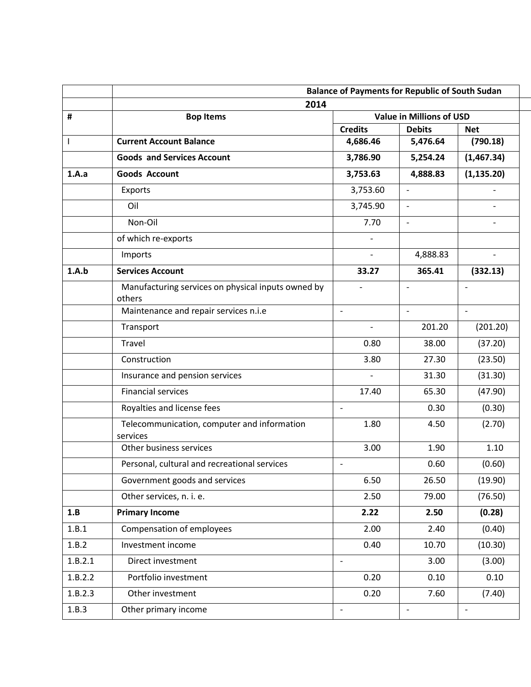|              | <b>Balance of Payments for Republic of South Sudan</b>       |                          |                                                  |                          |  |  |
|--------------|--------------------------------------------------------------|--------------------------|--------------------------------------------------|--------------------------|--|--|
|              | 2014                                                         |                          |                                                  |                          |  |  |
| #            | <b>Bop Items</b>                                             | <b>Credits</b>           | <b>Value in Millions of USD</b><br><b>Debits</b> | <b>Net</b>               |  |  |
| $\mathbf{I}$ | <b>Current Account Balance</b>                               | 4,686.46                 | 5,476.64                                         | (790.18)                 |  |  |
|              | <b>Goods and Services Account</b>                            | 3,786.90                 | 5,254.24                                         | (1,467.34)               |  |  |
| 1.A.a        | <b>Goods Account</b>                                         | 3,753.63                 | 4,888.83                                         | (1, 135.20)              |  |  |
|              | Exports                                                      | 3,753.60                 | $\overline{\phantom{a}}$                         |                          |  |  |
|              | Oil                                                          | 3,745.90                 | $\overline{a}$                                   |                          |  |  |
|              | Non-Oil                                                      | 7.70                     | $\overline{a}$                                   |                          |  |  |
|              | of which re-exports                                          | $\overline{\phantom{a}}$ |                                                  |                          |  |  |
|              | Imports                                                      | $\overline{\phantom{a}}$ | 4,888.83                                         |                          |  |  |
| 1.A.b        | <b>Services Account</b>                                      | 33.27                    | 365.41                                           | (332.13)                 |  |  |
|              | Manufacturing services on physical inputs owned by<br>others | $\overline{\phantom{a}}$ | $\overline{\phantom{a}}$                         | $\overline{\phantom{a}}$ |  |  |
|              | Maintenance and repair services n.i.e                        | $\blacksquare$           | $\overline{\phantom{a}}$                         | $\blacksquare$           |  |  |
|              | Transport                                                    |                          | 201.20                                           | (201.20)                 |  |  |
|              | Travel                                                       | 0.80                     | 38.00                                            | (37.20)                  |  |  |
|              | Construction                                                 | 3.80                     | 27.30                                            | (23.50)                  |  |  |
|              | Insurance and pension services                               | $\overline{\phantom{a}}$ | 31.30                                            | (31.30)                  |  |  |
|              | <b>Financial services</b>                                    | 17.40                    | 65.30                                            | (47.90)                  |  |  |
|              | Royalties and license fees                                   | $\blacksquare$           | 0.30                                             | (0.30)                   |  |  |
|              | Telecommunication, computer and information<br>services      | 1.80                     | 4.50                                             | (2.70)                   |  |  |
|              | Other business services                                      | 3.00                     | 1.90                                             | 1.10                     |  |  |
|              | Personal, cultural and recreational services                 | $\overline{\phantom{a}}$ | 0.60                                             | (0.60)                   |  |  |
|              | Government goods and services                                | 6.50                     | 26.50                                            | (19.90)                  |  |  |
|              | Other services, n. i. e.                                     | 2.50                     | 79.00                                            | (76.50)                  |  |  |
| 1.B          | <b>Primary Income</b>                                        | 2.22                     | 2.50                                             | (0.28)                   |  |  |
| 1.B.1        | Compensation of employees                                    | 2.00                     | 2.40                                             | (0.40)                   |  |  |
| 1.B.2        | Investment income                                            | 0.40                     | 10.70                                            | (10.30)                  |  |  |
| 1.B.2.1      | Direct investment                                            | $\overline{a}$           | 3.00                                             | (3.00)                   |  |  |
| 1.B.2.2      | Portfolio investment                                         | 0.20                     | 0.10                                             | 0.10                     |  |  |
| 1.B.2.3      | Other investment                                             | 0.20                     | 7.60                                             | (7.40)                   |  |  |
| 1.B.3        | Other primary income                                         | $\overline{\phantom{a}}$ | $\blacksquare$                                   | $\overline{\phantom{a}}$ |  |  |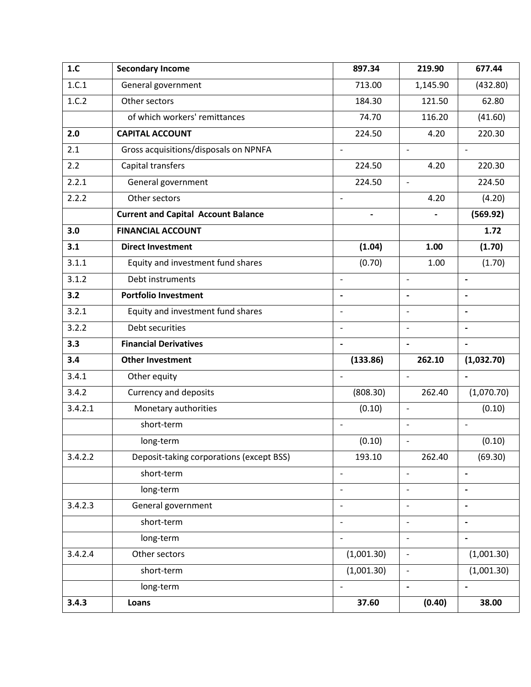| 1.C     | <b>Secondary Income</b>                    | 897.34                   | 219.90                   | 677.44                       |
|---------|--------------------------------------------|--------------------------|--------------------------|------------------------------|
| 1.C.1   | General government                         | 713.00                   | 1,145.90                 | (432.80)                     |
| 1.C.2   | Other sectors                              | 184.30                   | 121.50                   | 62.80                        |
|         | of which workers' remittances              | 74.70                    | 116.20                   | (41.60)                      |
| 2.0     | <b>CAPITAL ACCOUNT</b>                     | 224.50                   | 4.20                     | 220.30                       |
| 2.1     | Gross acquisitions/disposals on NPNFA      |                          | $\overline{\phantom{a}}$ | $\overline{\phantom{0}}$     |
| 2.2     | Capital transfers                          | 224.50                   | 4.20                     | 220.30                       |
| 2.2.1   | General government                         | 224.50                   | $\overline{\phantom{a}}$ | 224.50                       |
| 2.2.2   | Other sectors                              | $\overline{\phantom{a}}$ | 4.20                     | (4.20)                       |
|         | <b>Current and Capital Account Balance</b> | $\overline{\phantom{a}}$ | $\overline{\phantom{0}}$ | (569.92)                     |
| 3.0     | <b>FINANCIAL ACCOUNT</b>                   |                          |                          | 1.72                         |
| 3.1     | <b>Direct Investment</b>                   | (1.04)                   | 1.00                     | (1.70)                       |
| 3.1.1   | Equity and investment fund shares          | (0.70)                   | 1.00                     | (1.70)                       |
| 3.1.2   | Debt instruments                           | $\blacksquare$           | $\overline{\phantom{a}}$ | $\blacksquare$               |
| 3.2     | <b>Portfolio Investment</b>                |                          | $\overline{\phantom{a}}$ |                              |
| 3.2.1   | Equity and investment fund shares          |                          | $\overline{a}$           | $\overline{\phantom{0}}$     |
| 3.2.2   | Debt securities                            |                          | $\overline{\phantom{a}}$ |                              |
| 3.3     | <b>Financial Derivatives</b>               |                          | $\blacksquare$           | $\qquad \qquad \blacksquare$ |
| 3.4     | <b>Other Investment</b>                    | (133.86)                 | 262.10                   | (1,032.70)                   |
| 3.4.1   | Other equity                               | $\overline{\phantom{m}}$ | $\overline{\phantom{a}}$ | $\qquad \qquad \blacksquare$ |
| 3.4.2   | <b>Currency and deposits</b>               | (808.30)                 | 262.40                   | (1,070.70)                   |
| 3.4.2.1 | Monetary authorities                       | (0.10)                   | $\overline{\phantom{a}}$ | (0.10)                       |
|         | short-term                                 | $\blacksquare$           | $\overline{\phantom{a}}$ | $\bar{\phantom{a}}$          |
|         | long-term                                  | (0.10)                   | $\blacksquare$           | (0.10)                       |
| 3.4.2.2 | Deposit-taking corporations (except BSS)   | 193.10                   | 262.40                   | (69.30)                      |
|         | short-term                                 |                          | $\overline{\phantom{0}}$ | $\qquad \qquad \blacksquare$ |
|         | long-term                                  |                          | $\overline{a}$           |                              |
| 3.4.2.3 | General government                         |                          | $\overline{\phantom{0}}$ | $\overline{\phantom{a}}$     |
|         | short-term                                 |                          | $\qquad \qquad -$        |                              |
|         | long-term                                  | $\overline{\phantom{a}}$ | $\blacksquare$           | $\blacksquare$               |
| 3.4.2.4 | Other sectors                              | (1,001.30)               | $\overline{\phantom{a}}$ | (1,001.30)                   |
|         | short-term                                 | (1,001.30)               | $\overline{\phantom{a}}$ | (1,001.30)                   |
|         | long-term                                  |                          | $\overline{\phantom{a}}$ |                              |
| 3.4.3   | Loans                                      | 37.60                    | (0.40)                   | 38.00                        |